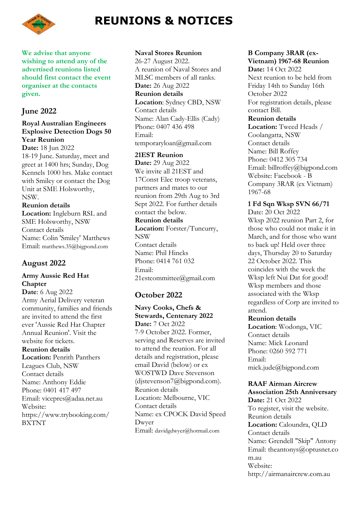

# **REUNIONS & NOTICES**

**We advise that anyone wishing to attend any of the advertised reunions listed should first contact the event organiser at the contacts given.**

### **June 2022**

### **Royal Australian Engineers Explosive Detection Dogs 50 Year Reunion**

**Date:** 18 Jun 2022 18-19 June. Saturday, meet and greet at 1400 hrs; Sunday, Dog Kennels 1000 hrs. Make contact with Smiley or contact the Dog Unit at SME Holsworthy, NSW.

**Reunion details Location:** Ingleburn RSL and SME Holsworthy, NSW Contact details Name: Colin 'Smiley' Matthews Email: matthews.35@bigpond.com

## **August 2022**

### **Army Aussie Red Hat Chapter**

**Date**: 6 Aug 2022 Army Aerial Delivery veteran community, families and friends are invited to attend the first ever 'Aussie Red Hat Chapter Annual Reunion'. Visit the website for tickets. **Reunion details Location:** Penrith Panthers

Leagues Club, NSW Contact details Name: Anthony Eddie Phone: 0401 417 497 Email: vicepres@adaa.net.au Website: https://www.trybooking.com/ BXTNT

**Naval Stores Reunion** 26-27 August 2022. A reunion of Naval Stores and MLSC members of all ranks. **Date:** 26 Aug 2022 **Reunion details Location**: Sydney CBD, NSW Contact details Name: Alan Cady-Ellis (Cady) Phone: 0407 436 498 Email: temporaryloan@gmail.com

**21EST Reunion Date:** 29 Aug 2022

We invite all 21EST and 17Const Elec troop veterans, partners and mates to our reunion from 29th Aug to 3rd Sept 2022. For further details contact the below.

### **Reunion details**

**Location:** Forster/Tuncurry, NSW Contact details Name: Phil Hincks Phone: 0414 761 032 Email: 21estcommittee@gmail.com

## **October 2022**

### **Navy Cooks, Chefs & Stewards, Centenary 2022 Date:** 7 Oct 2022

7-9 October 2022. Former, serving and Reserves are invited to attend the reunion. For all details and registration, please email David (below) or ex WOSTWD Dave Stevenson (djstevenson7@bigpond.com). Reunion details Location: Melbourne, VIC Contact details Name: ex CPOCK David Speed Dwyer Email: davidgdwyer@hotmail.com

### **B Company 3RAR (ex-Vietnam) 1967-68 Reunion**

**Date:** 14 Oct 2022 Next reunion to be held from Friday 14th to Sunday 16th October 2022 For registration details, please contact Bill.

### **Reunion details**

**Location:** Tweed Heads / Coolangatta, NSW Contact details Name: Bill Roffey Phone: 0412 305 734 Email: billroffey@bigpond.com Website: Facebook - B Company 3RAR (ex Vietnam) 1967-68

## **1 Fd Sqn Wksp SVN 66/71**

Date: 20 Oct 2022 Wksp 2022 reunion Part 2, for those who could not make it in March, and for those who want to back up! Held over three days, Thursday 20 to Saturday 22 October 2022. This coincides with the week the Wksp left Nui Dat for good! Wksp members and those associated with the Wksp regardless of Corp are invited to attend.

### **Reunion details**

**Location**: Wodonga, VIC Contact details Name: Mick Leonard Phone: 0260 592 771 Email: mick.jude@bigpond.com

## **RAAF Airman Aircrew**

**Association 25th Anniversary Date:** 21 Oct 2022 To register, visit the website. Reunion details **Location:** Caloundra, QLD Contact details Name: Grendell "Skip" Antony Email: [theantonys@optusnet.co](mailto:theantonys@optusnet.com.au) [m.au](mailto:theantonys@optusnet.com.au) Website: http://airmanaircrew.com.au